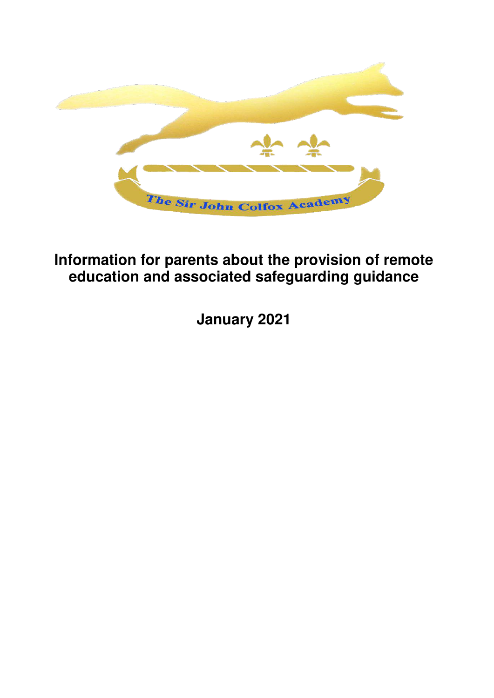

# **Information for parents about the provision of remote education and associated safeguarding guidance**

**January 2021**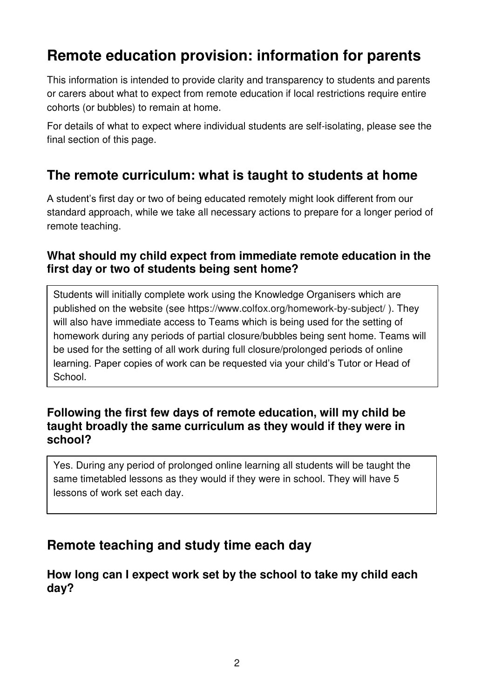# **Remote education provision: information for parents**

This information is intended to provide clarity and transparency to students and parents or carers about what to expect from remote education if local restrictions require entire cohorts (or bubbles) to remain at home.

For details of what to expect where individual students are self-isolating, please see the final section of this page.

### **The remote curriculum: what is taught to students at home**

A student's first day or two of being educated remotely might look different from our standard approach, while we take all necessary actions to prepare for a longer period of remote teaching.

#### **What should my child expect from immediate remote education in the first day or two of students being sent home?**

Students will initially complete work using the Knowledge Organisers which are published on the website (see<https://www.colfox.org/homework-by-subject/>). They will also have immediate access to Teams which is being used for the setting of homework during any periods of partial closure/bubbles being sent home. Teams will be used for the setting of all work during full closure/prolonged periods of online learning. Paper copies of work can be requested via your child's Tutor or Head of School.

#### **Following the first few days of remote education, will my child be taught broadly the same curriculum as they would if they were in school?**

Yes. During any period of prolonged online learning all students will be taught the same timetabled lessons as they would if they were in school. They will have 5 lessons of work set each day.

### **Remote teaching and study time each day**

### **How long can I expect work set by the school to take my child each day?**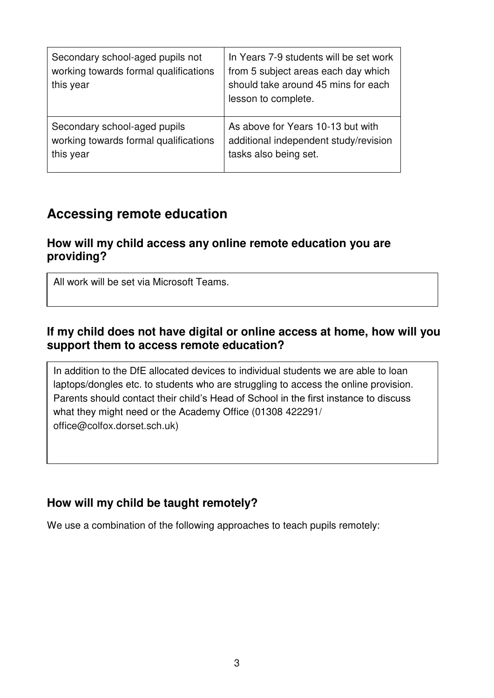| Secondary school-aged pupils not<br>working towards formal qualifications<br>this year | In Years 7-9 students will be set work<br>from 5 subject areas each day which<br>should take around 45 mins for each<br>lesson to complete. |
|----------------------------------------------------------------------------------------|---------------------------------------------------------------------------------------------------------------------------------------------|
| Secondary school-aged pupils                                                           | As above for Years 10-13 but with                                                                                                           |
| working towards formal qualifications                                                  | additional independent study/revision                                                                                                       |
| this year                                                                              | tasks also being set.                                                                                                                       |

### **Accessing remote education**

### **How will my child access any online remote education you are providing?**

All work will be set via Microsoft Teams.

### **If my child does not have digital or online access at home, how will you support them to access remote education?**

In addition to the DfE allocated devices to individual students we are able to loan laptops/dongles etc. to students who are struggling to access the online provision. Parents should contact their child's Head of School in the first instance to discuss what they might need or the Academy Office (01308 [422291/](mailto:422291/%20office@colfox.dorset.sch.uk)  [office@colfox.dorset.sch.uk\)](mailto:422291/%20office@colfox.dorset.sch.uk)

### **How will my child be taught remotely?**

We use a combination of the following approaches to teach pupils remotely: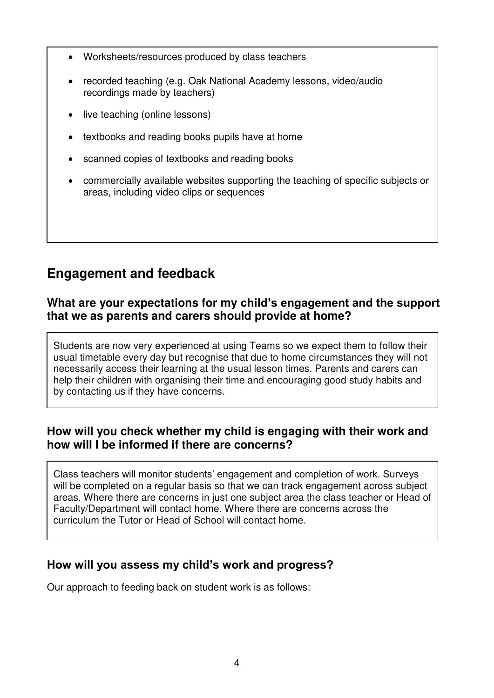- Worksheets/resources produced by class teachers
- recorded teaching (e.g. Oak National Academy lessons, video/audio recordings made by teachers)
- live teaching (online lessons)
- textbooks and reading books pupils have at home
- scanned copies of textbooks and reading books
- commercially available websites supporting the teaching of specific subjects or areas, including video clips or sequences

# **Engagement and feedback**

### **What are your expectations for my child's engagement and the support that we as parents and carers should provide at home?**

Students are now very experienced at using Teams so we expect them to follow their usual timetable every day but recognise that due to home circumstances they will not necessarily access their learning at the usual lesson times. Parents and carers can help their children with organising their time and encouraging good study habits and by contacting us if they have concerns.

### **How will you check whether my child is engaging with their work and how will I be informed if there are concerns?**

Class teachers will monitor students' engagement and completion of work. Surveys will be completed on a regular basis so that we can track engagement across subject areas. Where there are concerns in just one subject area the class teacher or Head of Faculty/Department will contact home. Where there are concerns across the curriculum the Tutor or Head of School will contact home.

### **How will you assess my child's work and progress?**

Our approach to feeding back on student work is as follows: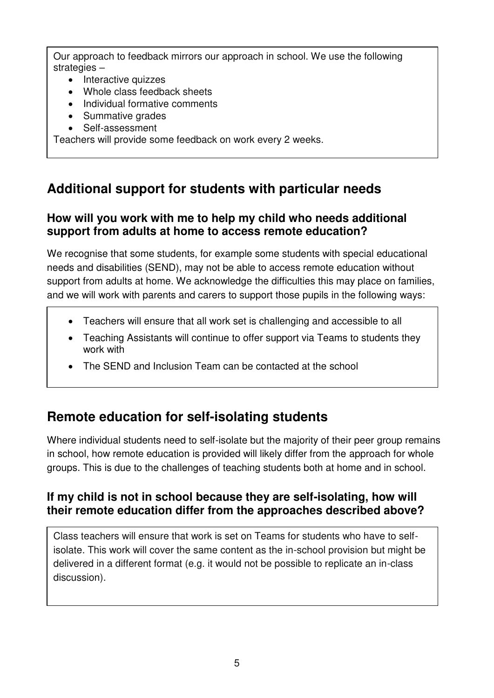Our approach to feedback mirrors our approach in school. We use the following strategies –

- Interactive quizzes
- Whole class feedback sheets
- Individual formative comments
- Summative grades
- Self-assessment

Teachers will provide some feedback on work every 2 weeks.

# **Additional support for students with particular needs**

### **How will you work with me to help my child who needs additional support from adults at home to access remote education?**

We recognise that some students, for example some students with special educational needs and disabilities (SEND), may not be able to access remote education without support from adults at home. We acknowledge the difficulties this may place on families, and we will work with parents and carers to support those pupils in the following ways:

- Teachers will ensure that all work set is challenging and accessible to all
- Teaching Assistants will continue to offer support via Teams to students they work with
- The SEND and Inclusion Team can be contacted at the school

### **Remote education for self-isolating students**

Where individual students need to self-isolate but the majority of their peer group remains in school, how remote education is provided will likely differ from the approach for whole groups. This is due to the challenges of teaching students both at home and in school.

### **If my child is not in school because they are self-isolating, how will their remote education differ from the approaches described above?**

Class teachers will ensure that work is set on Teams for students who have to selfisolate. This work will cover the same content as the in-school provision but might be delivered in a different format (e.g. it would not be possible to replicate an in-class discussion).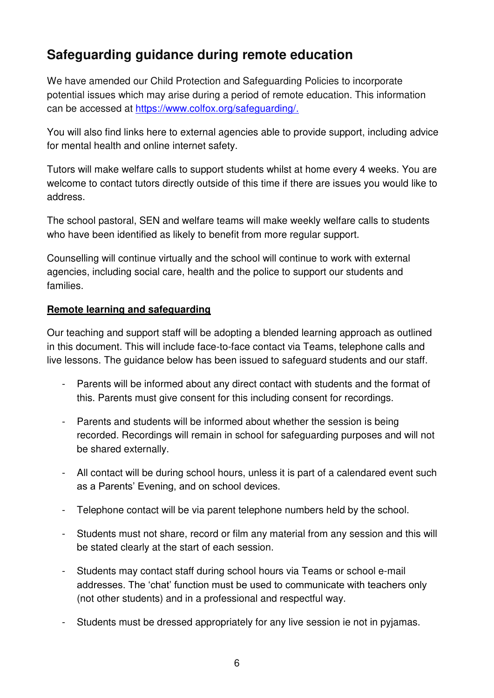# **Safeguarding guidance during remote education**

We have amended our Child Protection and Safeguarding Policies to incorporate potential issues which may arise during a period of remote education. This information can be accessed at [https://www.colfox.org/safeguarding/.](https://www.colfox.org/safeguarding/)

You will also find links here to external agencies able to provide support, including advice for mental health and online internet safety.

Tutors will make welfare calls to support students whilst at home every 4 weeks. You are welcome to contact tutors directly outside of this time if there are issues you would like to address.

The school pastoral, SEN and welfare teams will make weekly welfare calls to students who have been identified as likely to benefit from more regular support.

Counselling will continue virtually and the school will continue to work with external agencies, including social care, health and the police to support our students and families.

#### **Remote learning and safeguarding**

Our teaching and support staff will be adopting a blended learning approach as outlined in this document. This will include face-to-face contact via Teams, telephone calls and live lessons. The guidance below has been issued to safeguard students and our staff.

- Parents will be informed about any direct contact with students and the format of this. Parents must give consent for this including consent for recordings.
- Parents and students will be informed about whether the session is being recorded. Recordings will remain in school for safeguarding purposes and will not be shared externally.
- All contact will be during school hours, unless it is part of a calendared event such as a Parents' Evening, and on school devices.
- Telephone contact will be via parent telephone numbers held by the school.
- Students must not share, record or film any material from any session and this will be stated clearly at the start of each session.
- Students may contact staff during school hours via Teams or school e-mail addresses. The 'chat' function must be used to communicate with teachers only (not other students) and in a professional and respectful way.
- Students must be dressed appropriately for any live session ie not in pyjamas.